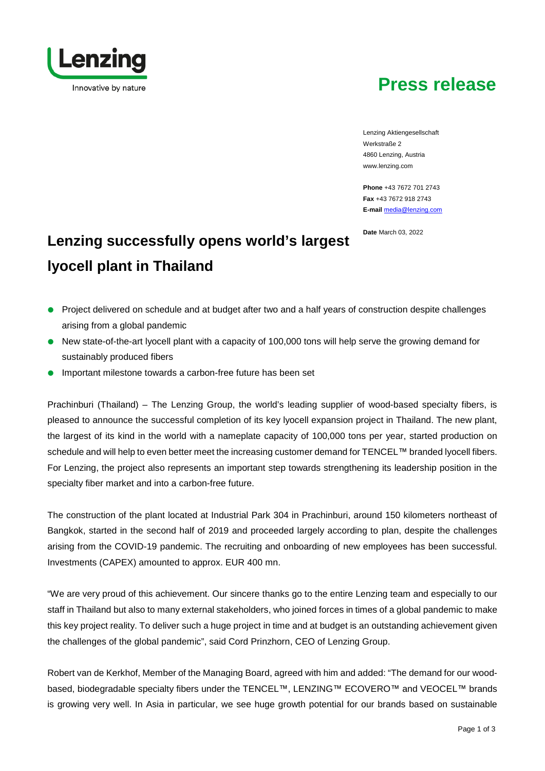# **Press release**

Lenzing Innovative by nature

> Lenzing Aktiengesellschaft Werkstraße 2 4860 Lenzing, Austria www.lenzing.com

**Phone** +43 7672 701 2743 **Fax** +43 7672 918 2743 **E-mail** [media@lenzing.com](mailto:media@lenzing.com) 

**Date** March 03, 2022

# **Lenzing successfully opens world's largest lyocell plant in Thailand**

- Project delivered on schedule and at budget after two and a half years of construction despite challenges arising from a global pandemic
- New state-of-the-art lyocell plant with a capacity of 100,000 tons will help serve the growing demand for sustainably produced fibers
- Important milestone towards a carbon-free future has been set

Prachinburi (Thailand) – The Lenzing Group, the world's leading supplier of wood-based specialty fibers, is pleased to announce the successful completion of its key lyocell expansion project in Thailand. The new plant, the largest of its kind in the world with a nameplate capacity of 100,000 tons per year, started production on schedule and will help to even better meet the increasing customer demand for TENCEL™ branded lyocell fibers. For Lenzing, the project also represents an important step towards strengthening its leadership position in the specialty fiber market and into a carbon-free future.

The construction of the plant located at Industrial Park 304 in Prachinburi, around 150 kilometers northeast of Bangkok, started in the second half of 2019 and proceeded largely according to plan, despite the challenges arising from the COVID-19 pandemic. The recruiting and onboarding of new employees has been successful. Investments (CAPEX) amounted to approx. EUR 400 mn.

"We are very proud of this achievement. Our sincere thanks go to the entire Lenzing team and especially to our staff in Thailand but also to many external stakeholders, who joined forces in times of a global pandemic to make this key project reality. To deliver such a huge project in time and at budget is an outstanding achievement given the challenges of the global pandemic", said Cord Prinzhorn, CEO of Lenzing Group.

Robert van de Kerkhof, Member of the Managing Board, agreed with him and added: "The demand for our woodbased, biodegradable specialty fibers under the TENCEL™, LENZING™ ECOVERO™ and VEOCEL™ brands is growing very well. In Asia in particular, we see huge growth potential for our brands based on sustainable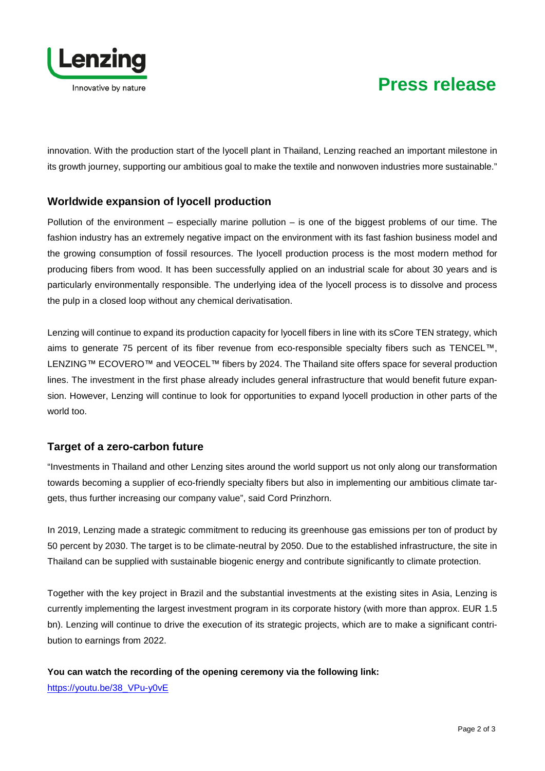

# **Press release**

innovation. With the production start of the lyocell plant in Thailand, Lenzing reached an important milestone in its growth journey, supporting our ambitious goal to make the textile and nonwoven industries more sustainable."

## **Worldwide expansion of lyocell production**

Pollution of the environment – especially marine pollution – is one of the biggest problems of our time. The fashion industry has an extremely negative impact on the environment with its fast fashion business model and the growing consumption of fossil resources. The lyocell production process is the most modern method for producing fibers from wood. It has been successfully applied on an industrial scale for about 30 years and is particularly environmentally responsible. The underlying idea of the lyocell process is to dissolve and process the pulp in a closed loop without any chemical derivatisation.

Lenzing will continue to expand its production capacity for lyocell fibers in line with its sCore TEN strategy, which aims to generate 75 percent of its fiber revenue from eco-responsible specialty fibers such as TENCEL™, LENZING™ ECOVERO™ and VEOCEL™ fibers by 2024. The Thailand site offers space for several production lines. The investment in the first phase already includes general infrastructure that would benefit future expansion. However, Lenzing will continue to look for opportunities to expand lyocell production in other parts of the world too.

## **Target of a zero-carbon future**

"Investments in Thailand and other Lenzing sites around the world support us not only along our transformation towards becoming a supplier of eco-friendly specialty fibers but also in implementing our ambitious climate targets, thus further increasing our company value", said Cord Prinzhorn.

In 2019, Lenzing made a strategic commitment to reducing its greenhouse gas emissions per ton of product by 50 percent by 2030. The target is to be climate-neutral by 2050. Due to the established infrastructure, the site in Thailand can be supplied with sustainable biogenic energy and contribute significantly to climate protection.

Together with the key project in Brazil and the substantial investments at the existing sites in Asia, Lenzing is currently implementing the largest investment program in its corporate history (with more than approx. EUR 1.5 bn). Lenzing will continue to drive the execution of its strategic projects, which are to make a significant contribution to earnings from 2022.

**You can watch the recording of the opening ceremony via the following link:** [https://youtu.be/38\\_VPu-y0vE](https://youtu.be/38_VPu-y0vE)